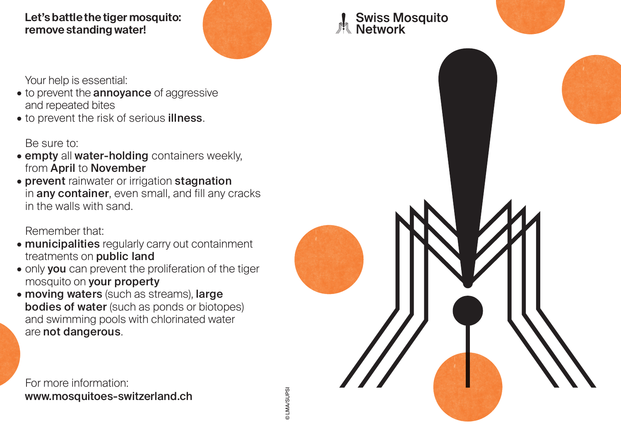## **Let's battle the tiger mosquito: remove standing water!**



© LMA/SUPSI

**DLMA/SUPSI** 

## Your help is essential:

- to prevent the **annoyance** of aggressive and repeated bites
- to prevent the risk of serious **illness**.

Be sure to:

- $\bullet$  empty all water-holding containers weekly, from April to November
- prevent rainwater or irrigation stagnation in any container, even small, and fill any cracks in the walls with sand.

## Remember that:

- **municipalities** regularly carry out containment treatments on public land
- $\bullet$  only  $\mathsf{you}$  can prevent the proliferation of the tiger mosquito on your property
- moving waters (such as streams), large bodies of water (such as ponds or biotopes) and swimming pools with chlorinated water are not dangerous.

For more information: www.mosquitoes-switzerland.ch Swiss Mosquito<br>Network